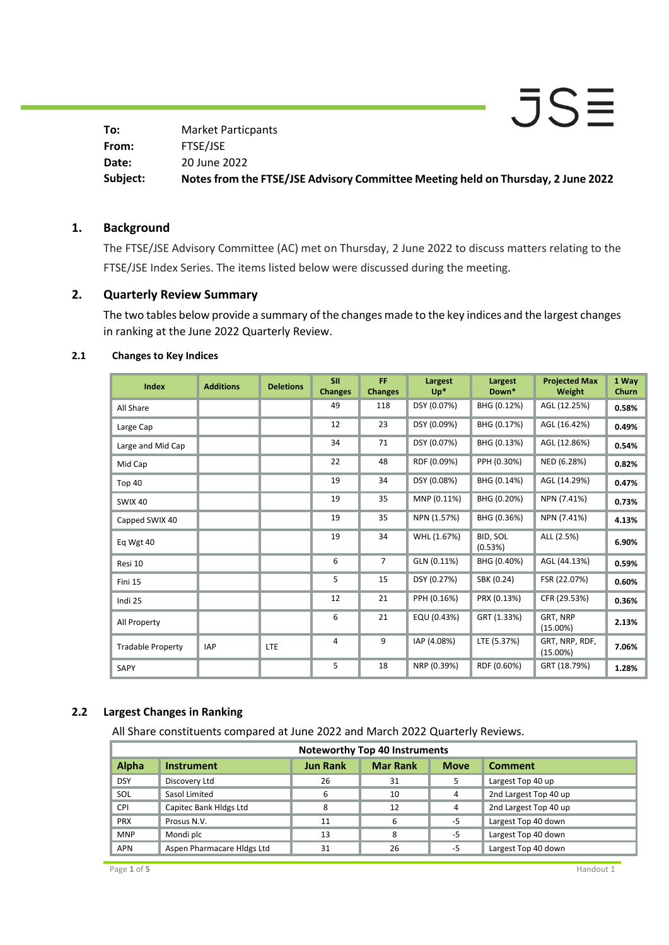JSE

**To:** Market Particpants **From:** FTSE/JSE **Date: Subject:** 20 June 2022 **Notes from the FTSE/JSE Advisory Committee Meeting held on Thursday, 2 June 2022**

## **1. Background**

The FTSE/JSE Advisory Committee (AC) met on Thursday, 2 June 2022 to discuss matters relating to the FTSE/JSE Index Series. The items listed below were discussed during the meeting.

## **2. Quarterly Review Summary**

The two tables below provide a summary of the changes made to the key indices and the largest changes in ranking at the June 2022 Quarterly Review.

| <b>Index</b>             | <b>Additions</b> | <b>Deletions</b> | <b>SII</b><br><b>Changes</b> | FF<br><b>Changes</b> | Largest<br>$Up^*$ | Largest<br>Down*    | <b>Projected Max</b><br>Weight | 1 Way<br><b>Churn</b> |
|--------------------------|------------------|------------------|------------------------------|----------------------|-------------------|---------------------|--------------------------------|-----------------------|
| All Share                |                  |                  | 49                           | 118                  | DSY (0.07%)       | BHG (0.12%)         | AGL (12.25%)                   | 0.58%                 |
| Large Cap                |                  |                  | 12                           | 23                   | DSY (0.09%)       | BHG (0.17%)         | AGL (16.42%)                   | 0.49%                 |
| Large and Mid Cap        |                  |                  | 34                           | 71                   | DSY (0.07%)       | BHG (0.13%)         | AGL (12.86%)                   | 0.54%                 |
| Mid Cap                  |                  |                  | 22                           | 48                   | RDF (0.09%)       | PPH (0.30%)         | NED (6.28%)                    | 0.82%                 |
| Top 40                   |                  |                  | 19                           | 34                   | DSY (0.08%)       | BHG (0.14%)         | AGL (14.29%)                   | 0.47%                 |
| <b>SWIX 40</b>           |                  |                  | 19                           | 35                   | MNP (0.11%)       | BHG (0.20%)         | NPN (7.41%)                    | 0.73%                 |
| Capped SWIX 40           |                  |                  | 19                           | 35                   | NPN (1.57%)       | BHG (0.36%)         | NPN (7.41%)                    | 4.13%                 |
| Eq Wgt 40                |                  |                  | 19                           | 34                   | WHL (1.67%)       | BID, SOL<br>(0.53%) | ALL (2.5%)                     | 6.90%                 |
| Resi 10                  |                  |                  | 6                            | $\overline{7}$       | GLN (0.11%)       | BHG (0.40%)         | AGL (44.13%)                   | 0.59%                 |
| Fini 15                  |                  |                  | 5                            | 15                   | DSY (0.27%)       | SBK (0.24)          | FSR (22.07%)                   | 0.60%                 |
| Indi 25                  |                  |                  | 12                           | 21                   | PPH (0.16%)       | PRX (0.13%)         | CFR (29.53%)                   | 0.36%                 |
| All Property             |                  |                  | 6                            | 21                   | EQU (0.43%)       | GRT (1.33%)         | GRT, NRP<br>$(15.00\%)$        | 2.13%                 |
| <b>Tradable Property</b> | <b>IAP</b>       | <b>LTE</b>       | 4                            | 9                    | IAP (4.08%)       | LTE (5.37%)         | GRT, NRP, RDF,<br>$(15.00\%)$  | 7.06%                 |
| SAPY                     |                  |                  | 5                            | 18                   | NRP (0.39%)       | RDF (0.60%)         | GRT (18.79%)                   | 1.28%                 |

### **2.1 Changes to Key Indices**

### **2.2 Largest Changes in Ranking**

All Share constituents compared at June 2022 and March 2022 Quarterly Reviews.

| <b>Noteworthy Top 40 Instruments</b> |                            |                 |                 |             |                       |
|--------------------------------------|----------------------------|-----------------|-----------------|-------------|-----------------------|
| <b>Alpha</b>                         | Instrument                 | <b>Jun Rank</b> | <b>Mar Rank</b> | <b>Move</b> | <b>Comment</b>        |
| <b>DSY</b>                           | Discovery Ltd              | 26              | 31              | 5           | Largest Top 40 up     |
| SOL                                  | Sasol Limited              | 6               | 10              | 4           | 2nd Largest Top 40 up |
| <b>CPI</b>                           | Capitec Bank Hldgs Ltd     | 8               | 12              | 4           | 2nd Largest Top 40 up |
| <b>PRX</b>                           | Prosus N.V.                | 11              | 6               | $-5$        | Largest Top 40 down   |
| <b>MNP</b>                           | Mondi plc                  | 13              | 8               | $-5$        | Largest Top 40 down   |
| <b>APN</b>                           | Aspen Pharmacare Hidgs Ltd | 31              | 26              | -5          | Largest Top 40 down   |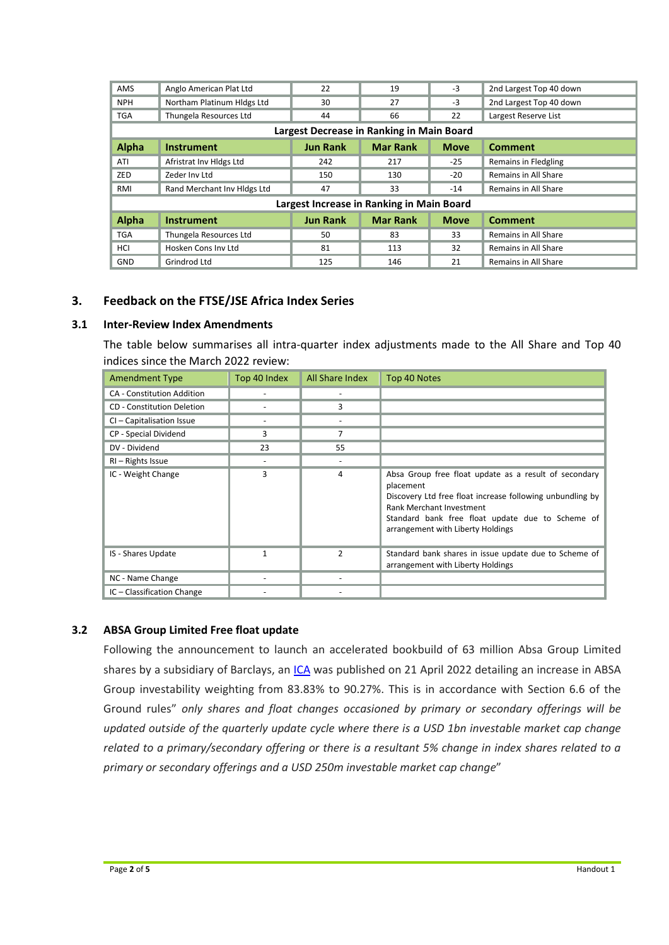| AMS                                       | Anglo American Plat Ltd     | 22              | 19                             | $-3$        | 2nd Largest Top 40 down |  |
|-------------------------------------------|-----------------------------|-----------------|--------------------------------|-------------|-------------------------|--|
| <b>NPH</b>                                | Northam Platinum Hldgs Ltd  | 30              | 27                             | $-3$        | 2nd Largest Top 40 down |  |
| <b>TGA</b>                                | Thungela Resources Ltd      | 44              | 66                             | 22          | Largest Reserve List    |  |
| Largest Decrease in Ranking in Main Board |                             |                 |                                |             |                         |  |
| <b>Alpha</b>                              | <b>Instrument</b>           | <b>Jun Rank</b> | <b>Mar Rank</b><br><b>Move</b> |             | <b>Comment</b>          |  |
| ATI                                       | Afristrat Inv Hldgs Ltd     | 242             | 217                            | $-25$       | Remains in Fledgling    |  |
| ZED                                       | Zeder Inv Ltd               | 150             | 130                            | -20         | Remains in All Share    |  |
| RMI                                       | Rand Merchant Inv Hldgs Ltd | 47              | 33                             | $-14$       | Remains in All Share    |  |
| Largest Increase in Ranking in Main Board |                             |                 |                                |             |                         |  |
| <b>Alpha</b>                              | <b>Instrument</b>           | <b>Jun Rank</b> | <b>Mar Rank</b>                | <b>Move</b> | <b>Comment</b>          |  |
| <b>TGA</b>                                | Thungela Resources Ltd      | 50              | 83                             | 33          | Remains in All Share    |  |
| HCI                                       | Hosken Cons Inv Ltd         | 81              | 113                            | 32          | Remains in All Share    |  |
| <b>GND</b>                                | Grindrod Ltd                | 125             | 146                            | 21          | Remains in All Share    |  |

## **3. Feedback on the FTSE/JSE Africa Index Series**

#### **3.1 Inter-Review Index Amendments**

The table below summarises all intra-quarter index adjustments made to the All Share and Top 40 indices since the March 2022 review:

| <b>Amendment Type</b>             | Top 40 Index | All Share Index | Top 40 Notes                                                                                                                                                                                                                                                |
|-----------------------------------|--------------|-----------------|-------------------------------------------------------------------------------------------------------------------------------------------------------------------------------------------------------------------------------------------------------------|
| <b>CA</b> - Constitution Addition |              |                 |                                                                                                                                                                                                                                                             |
| <b>CD</b> - Constitution Deletion |              | 3               |                                                                                                                                                                                                                                                             |
| CI - Capitalisation Issue         |              |                 |                                                                                                                                                                                                                                                             |
| CP - Special Dividend             | 3            | 7               |                                                                                                                                                                                                                                                             |
| DV - Dividend                     | 23           | 55              |                                                                                                                                                                                                                                                             |
| RI – Rights Issue                 |              |                 |                                                                                                                                                                                                                                                             |
| IC - Weight Change                | 3            | 4               | Absa Group free float update as a result of secondary<br>placement<br>Discovery Ltd free float increase following unbundling by<br><b>Rank Merchant Investment</b><br>Standard bank free float update due to Scheme of<br>arrangement with Liberty Holdings |
| IS - Shares Update                |              | $\mathcal{P}$   | Standard bank shares in issue update due to Scheme of<br>arrangement with Liberty Holdings                                                                                                                                                                  |
| NC - Name Change                  |              |                 |                                                                                                                                                                                                                                                             |
| IC - Classification Change        |              |                 |                                                                                                                                                                                                                                                             |

### **3.2 ABSA Group Limited Free float update**

Following the announcement to launch an accelerated bookbuild of 63 million Absa Group Limited shares by a subsidiary of Barclays, an [ICA](https://clientportal.jse.co.za/Content/ICANoticeItems/FTSE-JSE-Africa/20220426%20Absa%20Group%20Limited%20Free%20Float%20Update.pdf) was published on 21 April 2022 detailing an increase in ABSA Group investability weighting from 83.83% to 90.27%. This is in accordance with Section 6.6 of the Ground rules" *only shares and float changes occasioned by primary or secondary offerings will be updated outside of the quarterly update cycle where there is a USD 1bn investable market cap change related to a primary/secondary offering or there is a resultant 5% change in index shares related to a primary or secondary offerings and a USD 250m investable market cap change*"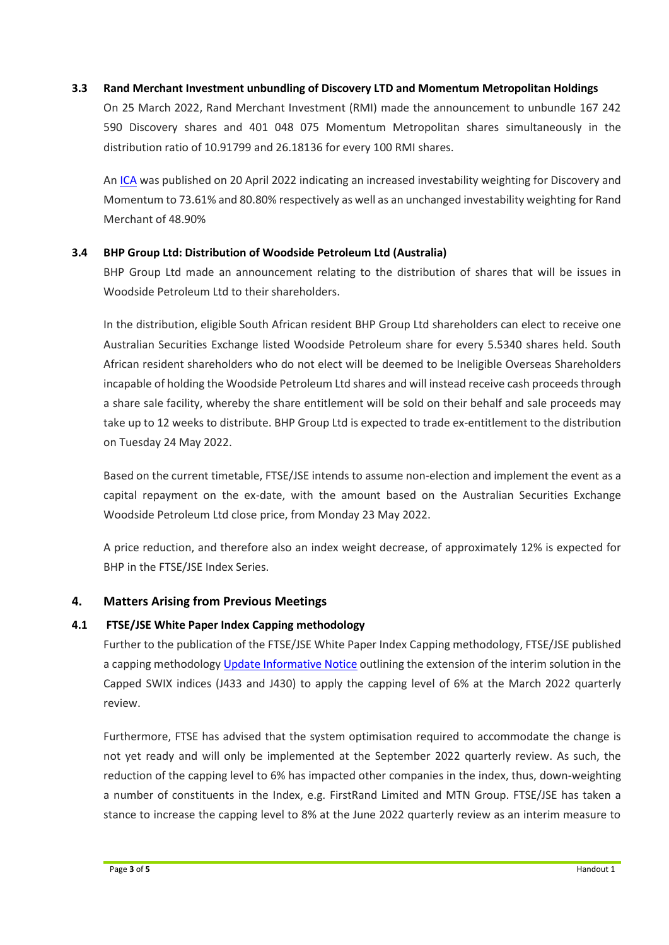### **3.3 Rand Merchant Investment unbundling of Discovery LTD and Momentum Metropolitan Holdings**

On 25 March 2022, Rand Merchant Investment (RMI) made the announcement to unbundle 167 242 590 Discovery shares and 401 048 075 Momentum Metropolitan shares simultaneously in the distribution ratio of 10.91799 and 26.18136 for every 100 RMI shares.

An [ICA](https://clientportal.jse.co.za/Content/ICANoticeItems/FTSE-JSE-Africa/20220420%20Rand%20Merchant%20Investment%20Unbundling%20of%20Discovery%20and%20Momentum.pdf) was published on 20 April 2022 indicating an increased investability weighting for Discovery and Momentum to 73.61% and 80.80% respectively as well as an unchanged investability weighting for Rand Merchant of 48.90%

### **3.4 BHP Group Ltd: Distribution of Woodside Petroleum Ltd (Australia)**

BHP Group Ltd made an announcement relating to the distribution of shares that will be issues in Woodside Petroleum Ltd to their shareholders.

In the distribution, eligible South African resident BHP Group Ltd shareholders can elect to receive one Australian Securities Exchange listed Woodside Petroleum share for every 5.5340 shares held. South African resident shareholders who do not elect will be deemed to be Ineligible Overseas Shareholders incapable of holding the Woodside Petroleum Ltd shares and will instead receive cash proceeds through a share sale facility, whereby the share entitlement will be sold on their behalf and sale proceeds may take up to 12 weeks to distribute. BHP Group Ltd is expected to trade ex-entitlement to the distribution on Tuesday 24 May 2022.

Based on the current timetable, FTSE/JSE intends to assume non-election and implement the event as a capital repayment on the ex-date, with the amount based on the Australian Securities Exchange Woodside Petroleum Ltd close price, from Monday 23 May 2022.

A price reduction, and therefore also an index weight decrease, of approximately 12% is expected for BHP in the FTSE/JSE Index Series.

## **4. Matters Arising from Previous Meetings**

## **4.1 FTSE/JSE White Paper Index Capping methodology**

Further to the publication of the FTSE/JSE White Paper Index Capping methodology, FTSE/JSE published a capping methodology [Update Informative Notice](https://clientportal.jse.co.za/Content/ICANoticeItems/FTSE-JSE-Africa/20220211%20Capping%20Methodology%20Update%20Informative%20Notice.pdf) outlining the extension of the interim solution in the Capped SWIX indices (J433 and J430) to apply the capping level of 6% at the March 2022 quarterly review.

Furthermore, FTSE has advised that the system optimisation required to accommodate the change is not yet ready and will only be implemented at the September 2022 quarterly review. As such, the reduction of the capping level to 6% has impacted other companies in the index, thus, down-weighting a number of constituents in the Index, e.g. FirstRand Limited and MTN Group. FTSE/JSE has taken a stance to increase the capping level to 8% at the June 2022 quarterly review as an interim measure to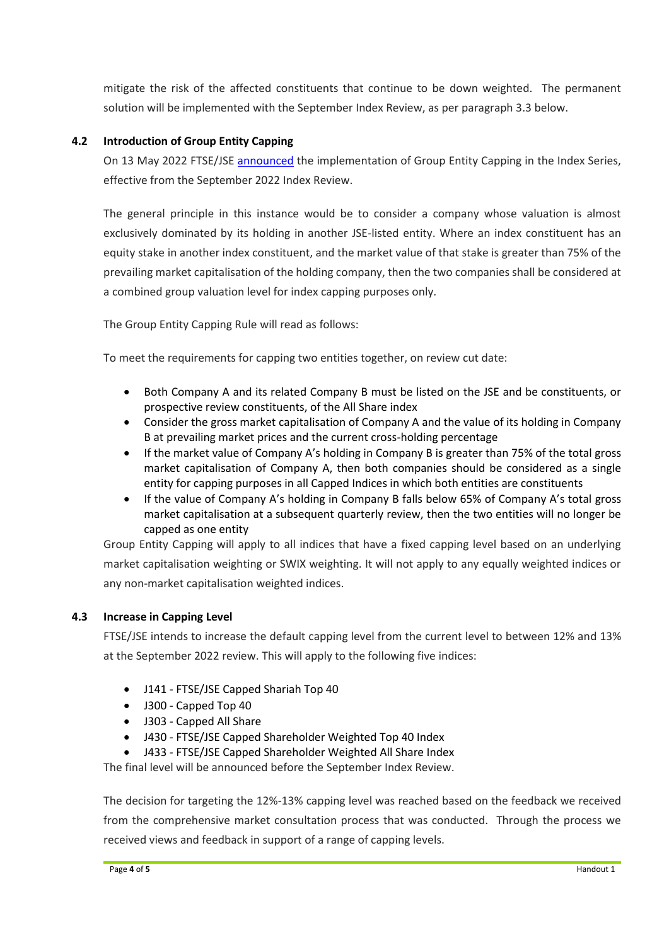mitigate the risk of the affected constituents that continue to be down weighted. The permanent solution will be implemented with the September Index Review, as per paragraph 3.3 below.

## **4.2 Introduction of Group Entity Capping**

On 13 May 2022 FTSE/JSE [announced](https://clientportal.jse.co.za/Content/ICANoticeItems/FTSE-JSE-Africa/20220513%20Introduction%20of%20Group%20Entity%20Capping%20Informative%20Notice.pdf) the implementation of Group Entity Capping in the Index Series, effective from the September 2022 Index Review.

The general principle in this instance would be to consider a company whose valuation is almost exclusively dominated by its holding in another JSE-listed entity. Where an index constituent has an equity stake in another index constituent, and the market value of that stake is greater than 75% of the prevailing market capitalisation of the holding company, then the two companies shall be considered at a combined group valuation level for index capping purposes only.

The Group Entity Capping Rule will read as follows:

To meet the requirements for capping two entities together, on review cut date:

- Both Company A and its related Company B must be listed on the JSE and be constituents, or prospective review constituents, of the All Share index
- Consider the gross market capitalisation of Company A and the value of its holding in Company B at prevailing market prices and the current cross-holding percentage
- If the market value of Company A's holding in Company B is greater than 75% of the total gross market capitalisation of Company A, then both companies should be considered as a single entity for capping purposes in all Capped Indices in which both entities are constituents
- If the value of Company A's holding in Company B falls below 65% of Company A's total gross market capitalisation at a subsequent quarterly review, then the two entities will no longer be capped as one entity

Group Entity Capping will apply to all indices that have a fixed capping level based on an underlying market capitalisation weighting or SWIX weighting. It will not apply to any equally weighted indices or any non-market capitalisation weighted indices.

## **4.3 Increase in Capping Level**

FTSE/JSE intends to increase the default capping level from the current level to between 12% and 13% at the September 2022 review. This will apply to the following five indices:

- J141 FTSE/JSE Capped Shariah Top 40
- J300 Capped Top 40
- J303 Capped All Share
- J430 FTSE/JSE Capped Shareholder Weighted Top 40 Index
- J433 FTSE/JSE Capped Shareholder Weighted All Share Index

The final level will be announced before the September Index Review.

The decision for targeting the 12%-13% capping level was reached based on the feedback we received from the comprehensive market consultation process that was conducted. Through the process we received views and feedback in support of a range of capping levels.